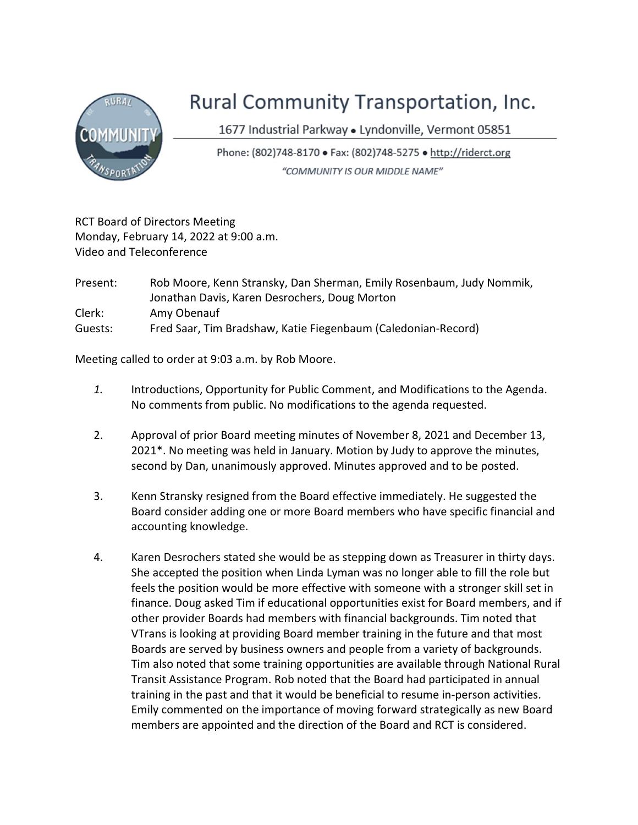

## Rural Community Transportation, Inc.

1677 Industrial Parkway · Lyndonville, Vermont 05851

Phone: (802)748-8170 · Fax: (802)748-5275 · http://riderct.org "COMMUNITY IS OUR MIDDLE NAME"

RCT Board of Directors Meeting Monday, February 14, 2022 at 9:00 a.m. Video and Teleconference

| Present: | Rob Moore, Kenn Stransky, Dan Sherman, Emily Rosenbaum, Judy Nommik, |
|----------|----------------------------------------------------------------------|
|          | Jonathan Davis, Karen Desrochers, Doug Morton                        |
| Clerk:   | Amy Obenauf                                                          |
| Guests:  | Fred Saar, Tim Bradshaw, Katie Fiegenbaum (Caledonian-Record)        |

Meeting called to order at 9:03 a.m. by Rob Moore.

- 1. Introductions, Opportunity for Public Comment, and Modifications to the Agenda. No comments from public. No modifications to the agenda requested.
- 2. Approval of prior Board meeting minutes of November 8, 2021 and December 13, 2021\*. No meeting was held in January. Motion by Judy to approve the minutes, second by Dan, unanimously approved. Minutes approved and to be posted.
- 3. Kenn Stransky resigned from the Board effective immediately. He suggested the Board consider adding one or more Board members who have specific financial and accounting knowledge.
- 4. Karen Desrochers stated she would be as stepping down as Treasurer in thirty days. She accepted the position when Linda Lyman was no longer able to fill the role but feels the position would be more effective with someone with a stronger skill set in finance. Doug asked Tim if educational opportunities exist for Board members, and if other provider Boards had members with financial backgrounds. Tim noted that VTrans is looking at providing Board member training in the future and that most Boards are served by business owners and people from a variety of backgrounds. Tim also noted that some training opportunities are available through National Rural Transit Assistance Program. Rob noted that the Board had participated in annual training in the past and that it would be beneficial to resume in-person activities. Emily commented on the importance of moving forward strategically as new Board members are appointed and the direction of the Board and RCT is considered.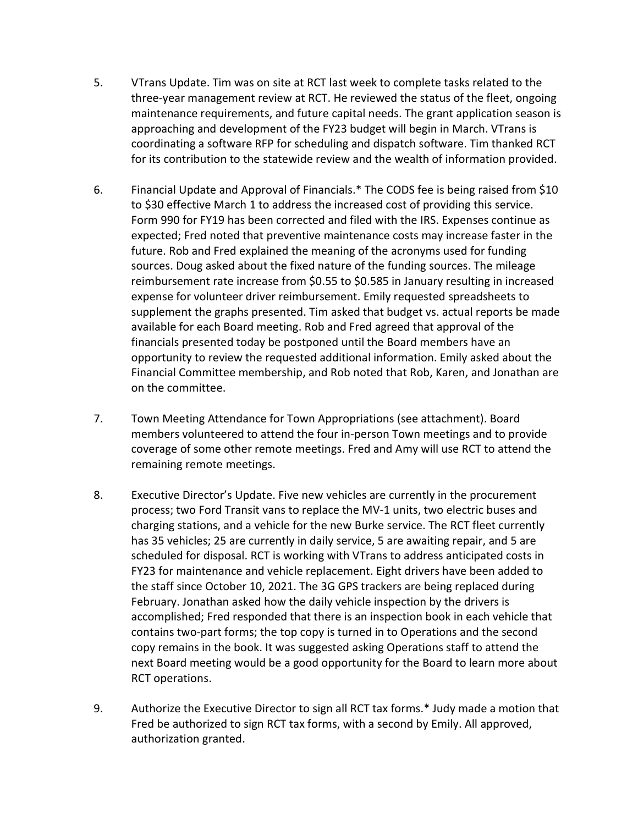- 5. VTrans Update. Tim was on site at RCT last week to complete tasks related to the three-year management review at RCT. He reviewed the status of the fleet, ongoing maintenance requirements, and future capital needs. The grant application season is approaching and development of the FY23 budget will begin in March. VTrans is coordinating a software RFP for scheduling and dispatch software. Tim thanked RCT for its contribution to the statewide review and the wealth of information provided.
- 6. Financial Update and Approval of Financials.\* The CODS fee is being raised from \$10 to \$30 effective March 1 to address the increased cost of providing this service. Form 990 for FY19 has been corrected and filed with the IRS. Expenses continue as expected; Fred noted that preventive maintenance costs may increase faster in the future. Rob and Fred explained the meaning of the acronyms used for funding sources. Doug asked about the fixed nature of the funding sources. The mileage reimbursement rate increase from \$0.55 to \$0.585 in January resulting in increased expense for volunteer driver reimbursement. Emily requested spreadsheets to supplement the graphs presented. Tim asked that budget vs. actual reports be made available for each Board meeting. Rob and Fred agreed that approval of the financials presented today be postponed until the Board members have an opportunity to review the requested additional information. Emily asked about the Financial Committee membership, and Rob noted that Rob, Karen, and Jonathan are on the committee.
- 7. Town Meeting Attendance for Town Appropriations (see attachment). Board members volunteered to attend the four in-person Town meetings and to provide coverage of some other remote meetings. Fred and Amy will use RCT to attend the remaining remote meetings.
- 8. Executive Director's Update. Five new vehicles are currently in the procurement process; two Ford Transit vans to replace the MV-1 units, two electric buses and charging stations, and a vehicle for the new Burke service. The RCT fleet currently has 35 vehicles; 25 are currently in daily service, 5 are awaiting repair, and 5 are scheduled for disposal. RCT is working with VTrans to address anticipated costs in FY23 for maintenance and vehicle replacement. Eight drivers have been added to the staff since October 10, 2021. The 3G GPS trackers are being replaced during February. Jonathan asked how the daily vehicle inspection by the drivers is accomplished; Fred responded that there is an inspection book in each vehicle that contains two-part forms; the top copy is turned in to Operations and the second copy remains in the book. It was suggested asking Operations staff to attend the next Board meeting would be a good opportunity for the Board to learn more about RCT operations.
- 9. Authorize the Executive Director to sign all RCT tax forms.\* Judy made a motion that Fred be authorized to sign RCT tax forms, with a second by Emily. All approved, authorization granted.